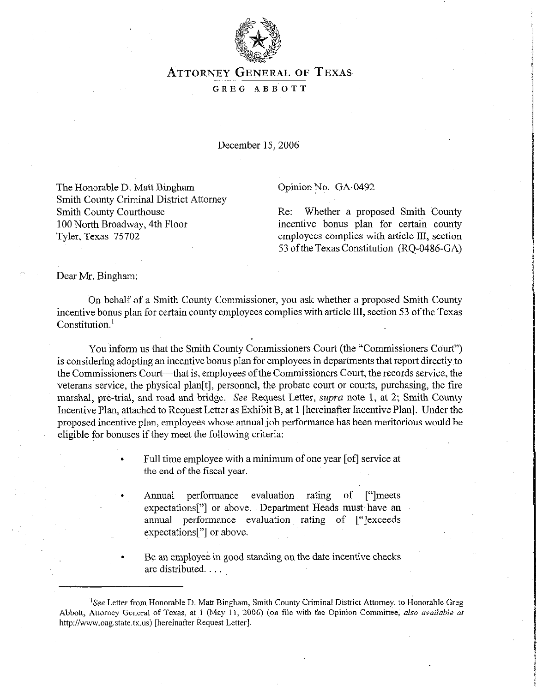

## **ATTORNEY GENERAL OF TEXAS**

## GREG ABBOTT

December 15,2006

The Honorable D. Matt Bingham Smith County Criminal District Attorney Smith County Courthouse 100 North Broadway, 4th Floor Tyler, Texas 75702

## Opinion No. GA-0492

Re: Whether a proposed Smith 'County incentive bonus plan for certain county employees complies with article III, section 53 ofthe Texas Constitution (RQ-0486-GA)

Dear Mr. Bingham:

Gn behalf of a Smith County Commissioner, you ask whether a proposed Smith County incentive bonus plan for certain county employees complies with article III, section 53 of the Texas Constitution.<sup>1</sup>

You inform us that the Smith County Commissioners Court (the "Commissioners Court") is considering adopting an incentive bonus plan for employees in departments that report directly to the Commissioners Court—that is, employees of the Commissioners Court, the records service, the veterans service, the physical plan[t], personnel, the probate court or courts, purchasing, the tire marshal, pre-trial, and road and bridge. See Request Letter, supra note 1, at 2; Smith County Incentive Plan, attached to Request Letter as Exhibit B, at 1 [hereinafter Incentive Plan]. Under the proposed incentive plan, employees whose annual job performance has been meritorious would be eligible for bonuses if they meet the following criteria:

> . Full time employee with a minimum of one year [of] service at the end of the fiscal year.

> . Annual performance evaluation rating of ["Imeets expectations["] or above. Department Heads must have an annual performance evaluation rating of ["Iexceeds expectations["] or above.

. Be an employee in good standing on the date incentive checks are distributed.

<sup>&</sup>lt;sup>1</sup>See Letter from Honorable D. Matt Bingham, Smith County Criminal District Attorney, to Honorable Greg Abbott, Attorney General of Texas, at 1 (May 11, 2006) (on file with the Opinion Committee, also available at http://www.oag.state.tx.us) [hereinafter Request Letter].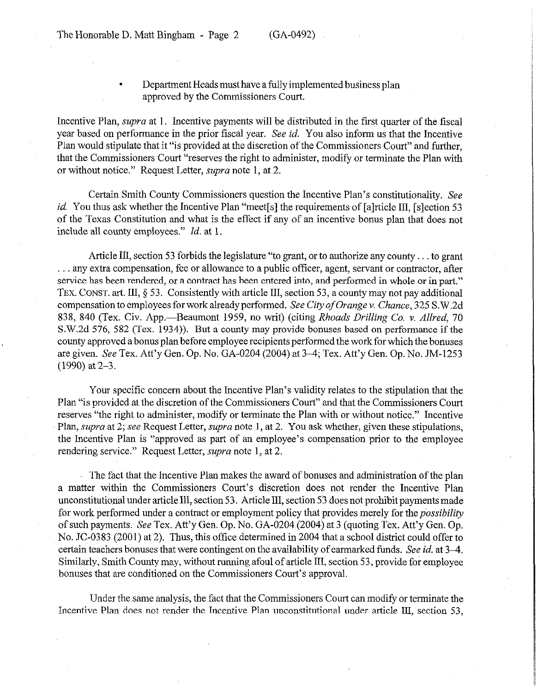. Department Heads must have a fully implemented business plan approved by the Commissioners Court.

Incentive Plan, *supra* at 1. Incentive payments will be distributed in the first quarter of the fiscal year based on performance in the prior fiscal year. See *id. You* also inform us that the Incentive Plan would stipulate that it "is provided at the discretion of the Commissioners Court" and further, that the Commissioners Court "reserves the right to administer, modify or terminate the Plan with or without notice." Request Letter, supra note 1, at 2.

Certain Smith County Commissioners question the Incentive Plan's constitutionality. See *id.* You thus ask whether the Incentive Plan "meet[s] the requirements of [alrticle III, [slection 53] of the Texas Constitution and what is the effect if any of an incentive bonus plan that does not include all county employees." *Id.* at 1.

Article III, section 53 forbids the legislature "to grant, or to authorize any county... to grant ... any extra compensation, fee or allowance to a public officer, agent, servant or contractor, after service has been rendered, or a contract has been entered into, and performed in whole or in part." TEX. CONST. art. III, 5 53. Consistently with article III, section 53, a county may not pay additional compensation to employees for work already performed. See *City of Orange v. Chance, 325* S.W.2d 838, 840 (Tex. Civ. App.—Beaumont 1959, no writ) (citing *Rhoads Drilling Co. v. Allred, 70* S.W.2d 576, 582 (Tex. 1934)). But a county may provide bonuses based on performance if the county approved a bonus plan before employee recipients performed the work for which the bonuses are given. See Tex. Att'y Gen. Op. No. GA-0204 (2004) at 3-4; Tex. Att'y Gen. Op. No. JM-1253 (1990) at 2-3.

Your specific concern about the Incentive Plan's validity relates to the stipulation that the Plan "is provided at the discretion of the Commissioners Court" and that the Commissioners Court reserves "the right to administer, modify or terminate the Plan with or without notice." Incentive Plan, *supra* at 2; see Request Letter, supra note 1, at 2. You ask whether, given these stipulations, the Incentive Plan is "approved as part of an employee's compensation prior to the employee rendering service." Request Letter, *supra* note 1, at 2.

The fact that the Incentive Plan makes the award of bonuses and administration of the plan a matter within the Commissioners Court's discretion does not render the Incentive Plan unconstitutional under article III, section 53. Article III, section 53 does not prohibit payments made for work performed under a contract or employment policy that provides merely for the *possibility* of such payments. See Tex. Att'y Gen. Op. No. GA-0204 (2004) at 3 (quoting Tex. **Att'y** Gen. Op. No. IC-0383 (2001) at 2). Thus, this office determined in 2004 that a school district could offer to certain teachers bonuses that were contingent on the availability of earmarked funds. See *id.* at 3-4. Similarly, Smith County may, without running afoul of article III, section 53, provide for employee bonuses that are conditioned on the Commissioners Court's approval.

Under the same analysis, the fact that the Commissioners Court can modify or terminate the Incentive Plan does not render the Incentive Plan unconstitutional under article III, section 53,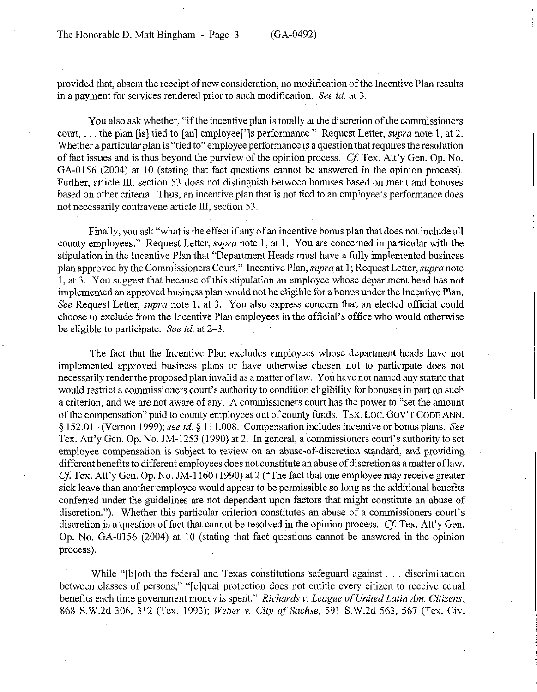provided that, absent the receipt of new consideration, no modification of the Incentive Plan results in a payment for services rendered prior to such modification. See id. at 3.

You also ask whether, "if the incentive plan is totally at the discretion of the commissioners court, ... the plan [is] tied to [an] employee<sup>[']</sup> g performance." Request Letter, *supra* note 1, at 2. Whether a particular plan is "tied to" employee performance is a question that requires the resolution of fact issues and is thus beyond the purview of the opinion process. Cf: Tex. Att'y Gen. Op. No. GA-0156 (2004) at 10 (stating that fact questions cannot be answered in the opinion process). Further, article III, section 53 does not distinguish between bonuses based on merit and bonuses based on other criteria. Thus, an incentive plan that is not tied to an employee's performance does not necessarily contravene article III, section 53.

Finally, you ask "what is the effect if any of an incentive bonus plan that does not include all county employees." Request Letter, supra note 1, at 1. You are concerned in particular with the stipulation in the Incentive Plan that "Department Heads must have a fully implemented business plan approved by the Commissioners Court." Incentive Plan, supra at 1; Request Letter, supra note 1, at 3. You suggest that because of this stipulation an employee whose department head has not implemented an approved business plan would not be eligible for a bonus under the Incentive Plan. See Request Letter, *supra* note 1, at 3. You also express concern that an elected official could choose to exclude from the Incentive Plan employees in the official's office who would otherwise be eligible to participate. See *id.* at 2-3.

The fact that the Incentive Plan excludes employees whose department heads have not implemented approved business plans or have otherwise chosen not to participate does not necessarily render the proposed plan invalid as a matter of law. You have not named any statute that would restrict a commissioners court's authority to condition eligibility for bonuses in part on such a criterion, and we are not aware of any. A commissioners court has the power to "set the amount of the compensation" paid to county employees out of county funds. **TEX. LOC. GOV'T CODE ANN.**  9 152.011~ (Vernon 1999); see *id.* 5 111.008. Compensation includes incentive or bonus plans. See Tex. Att'y Gen. Op. No. JM-1253 (1990) at 2. In general, a commissioners court's authority to set employee compensation is subject to review on an abuse-of-discretion standard, and providing different benefits to different employees does not constitute an abuse of discretion as a matter of law. Cf: Tex. Att'y Gen. Op. No. JM- 1160 (1990) at 2 ("The fact that one employee may receive greater sick leave than another employee would appear to be permissible so long as the additional benefits conferred under the guidelines are not dependent upon factors that might constitute an abuse of discretion."). Whether this particular criterion constitutes an abuse of a commissioners court's discretion is a question of fact that cannot be resolved in the opinion process. Cf. Tex. Att'y Gen. Op. No. GA-0156 (2004) at 10 (stating that fact questions cannot be answered in the opinion process).

While " $[b]$ oth the federal and Texas constitutions safeguard against  $\dots$  discrimination between classes of persons," "[e]qual protection does not entitle every citizen to receive equal benefits each time government money is spent." *Richards v. League of United Latin Am. Citizens,* **868** S.W.2d 306, 312 (Tex. 1993); We&r v. City *of Sachse, 591* S.W.2d 563, 567 (Tex. Civ.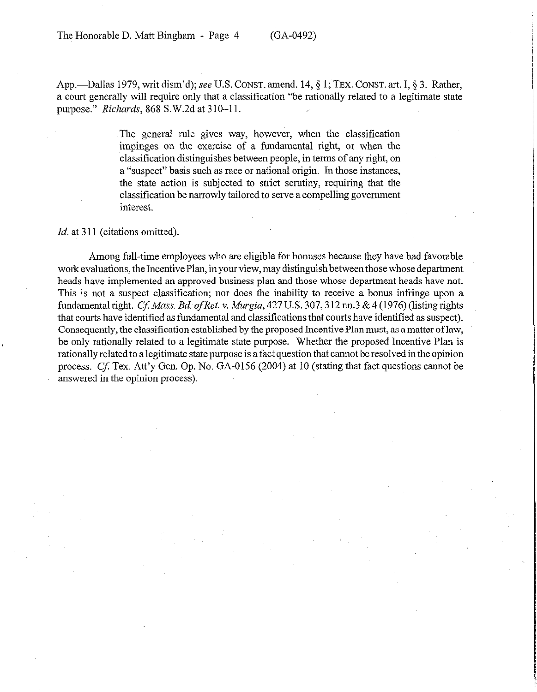The Honorable D. Matt Bingham - Page 4 (GA-0492)

App.---Dallas 1979, writ dism'd); see U.S. CONST. amend. 14, § 1; TEX. CONST. art. I, § 3. Rather, a court generally will require only that a classitication "be rationally related to a legitimate state purpose." *Richards, 868* S.W.2d at 3 10-l 1.

> The general rule gives way, however, when the classification impinges on the exercise of a fundamental right, or when the classification distinguishes between people, in terms of any right, on a "suspect" basis such as race or national origin. In those instances, the state action is subjected to strict scrutiny, requiring that the classification be narrowly tailored to serve a compelling government interest.

Id. at 311 (citations omitted).

Among full-time employees who are eligible for bonuses because they have had favorable work evaluations, the Incentive Plan, in your view, may distinguish between those whose department heads have implemented an approved business plan and those whose department heads have not. This is not a suspect classification; nor does the inability to receive a bonus infringe upon a fundamental right. Cf: Mass. Bd. *ofRet.* v. *Murgia,* 427 U.S. 307,3 12 nn.3 & 4 (1976) (listing rights that courts have identified as fundamental and classifications that courts have identified as suspect). Consequently, the classification established by the proposed Incentive Plan must, as a matter of law, be only rationally related to a legitimate state purpose. Whether the proposed Incentive Plan is rationally related to a legitimate state purpose is a fact question that cannot be resolved in the opinion process, Cf: Tex. Att'y Gen. Op. No. GA-0156 (2004) at 10 (stating that fact questions cannot be answered in the opinion process).